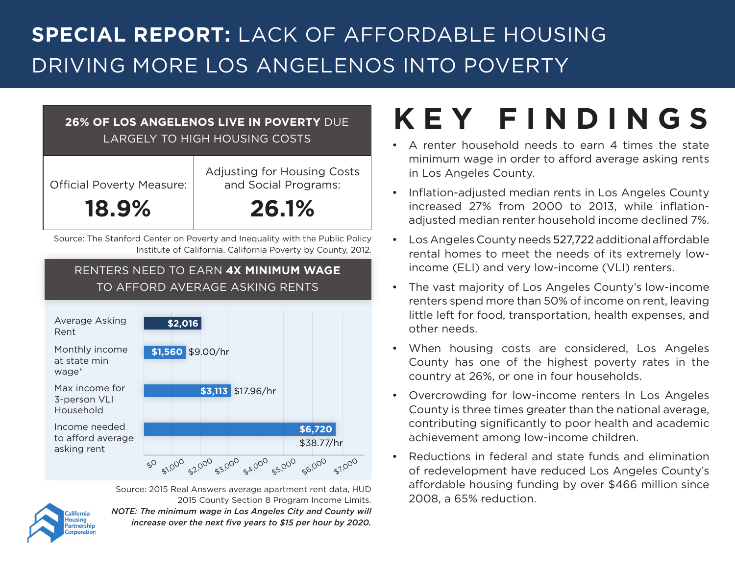### **SPECIAL REPORT:** LACK OF AFFORDABLE HOUSING DRIVING MORE LOS ANGELENOS INTO POVERTY

#### **26% OF LOS ANGELENOS LIVE IN POVERTY** DUE LARGELY TO HIGH HOUSING COSTS

| <b>Official Poverty Measure:</b> | Adjusting for Housing Costs<br>and Social Programs: |  |
|----------------------------------|-----------------------------------------------------|--|
| 18.9%                            | <b>26.1%</b>                                        |  |

Source: The Stanford Center on Poverty and Inequality with the Public Policy Institute of California. California Poverty by County, 2012.

#### RENTERS NEED TO EARN **4X MINIMUM WAGE** TO AFFORD AVERAGE ASKING RENTS



Source: 2015 Real Answers average apartment rent data, HUD 2015 County Section 8 Program Income Limits. *NOTE: The minimum wage in Los Angeles City and County will increase over the next five years to \$15 per hour by 2020.* 

## **KEY FINDINGS**

- A renter household needs to earn 4 times the state minimum wage in order to afford average asking rents in Los Angeles County.
- Inflation-adjusted median rents in Los Angeles County increased 27% from 2000 to 2013, while inflationadjusted median renter household income declined 7%.
- Los Angeles County needs 527,722 additional affordable rental homes to meet the needs of its extremely lowincome (ELI) and very low-income (VLI) renters.
- The vast majority of Los Angeles County's low-income renters spend more than 50% of income on rent, leaving little left for food, transportation, health expenses, and other needs.
- When housing costs are considered, Los Angeles County has one of the highest poverty rates in the country at 26%, or one in four households.
- Overcrowding for low-income renters In Los Angeles County is three times greater than the national average, contributing significantly to poor health and academic achievement among low-income children.
- Reductions in federal and state funds and elimination of redevelopment have reduced Los Angeles County's affordable housing funding by over \$466 million since 2008, a 65% reduction.

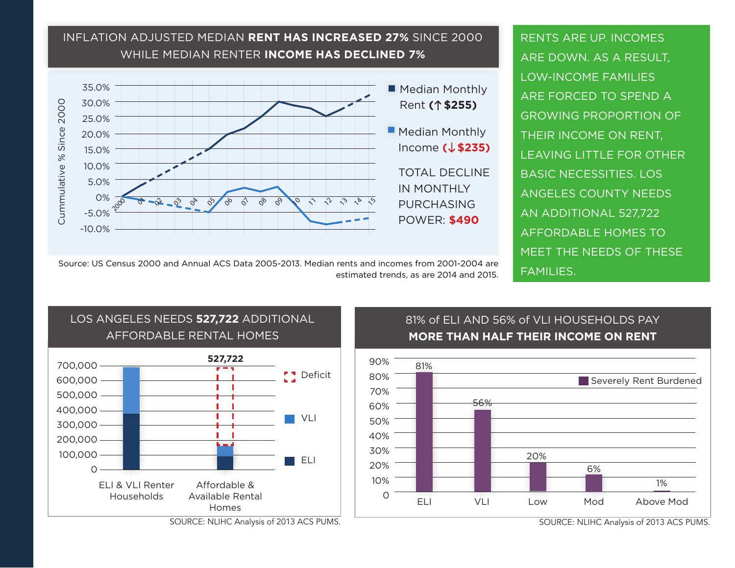#### INFLATION ADJUSTED MEDIAN **RENT HAS INCREASED 27%** SINCE 2000 WHILE MEDIAN RENTER **INCOME HAS DECLINED 7%**



RENTS ARE UP. INCOMES ARE DOWN. AS A RESULT, LOW-INCOME FAMILIES ARE FORCED TO SPEND A GROWING PROPORTION OF THEIR INCOME ON RENT, LEAVING LITTLE FOR OTHER BASIC NECESSITIES. LOS ANGELES COUNTY NEEDS AN ADDITIONAL 527,722 AFFORDABLE HOMES TO MEET THE NEEDS OF THESE FAMILIES.

Source: US Census 2000 and Annual ACS Data 2005-2013. Median rents and incomes from 2001-2004 are estimated trends, as are 2014 and 2015.



SOURCE: NLIHC Analysis of 2013 ACS PUMS.

#### 81% of ELI AND 56% of VLI HOUSEHOLDS PAY **MORE THAN HALF THEIR INCOME ON RENT**



SOURCE: NLIHC Analysis of 2013 ACS PUMS.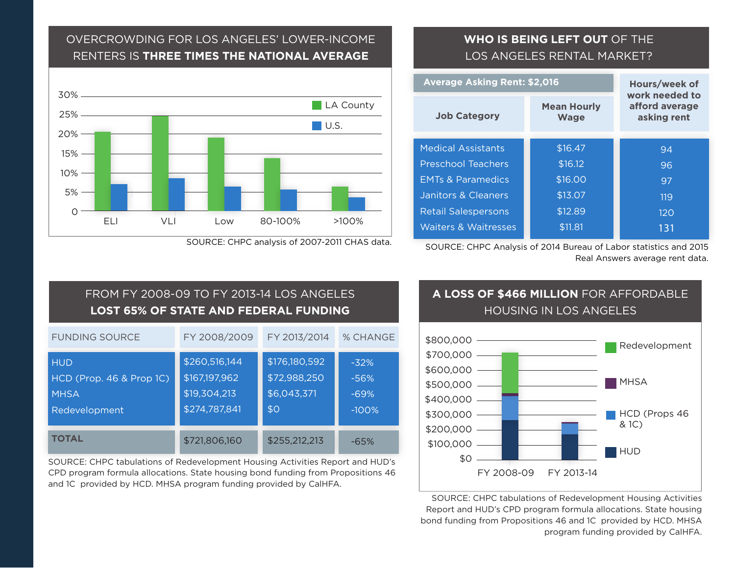#### OVERCROWDING FOR LOS ANGELES' LOWER-INCOME RENTERS IS **THREE TIMES THE NATIONAL AVERAGE**



SOURCE: CHPC analysis of 2007-2011 CHAS data.

#### **WHO IS BEING LEFT OUT** OF THE LOS ANGELES RENTAL MARKET?

| <b>Average Asking Rent: \$2,016</b> |                                 | Hours/week of                     |                                                 |  |
|-------------------------------------|---------------------------------|-----------------------------------|-------------------------------------------------|--|
|                                     | <b>Job Category</b>             | <b>Mean Hourly</b><br><b>Wage</b> | work needed to<br>afford average<br>asking rent |  |
|                                     | <b>Medical Assistants</b>       | \$16.47                           | 94                                              |  |
|                                     | <b>Preschool Teachers</b>       | \$16.12                           | 96                                              |  |
|                                     | <b>FMTs &amp; Paramedics</b>    | \$16.00                           | 97                                              |  |
|                                     | Janitors & Cleaners             | \$13.07                           | 119                                             |  |
|                                     | <b>Retail Salespersons</b>      | \$12.89                           | 120                                             |  |
|                                     | <b>Waiters &amp; Waitresses</b> | \$11.81                           | 131                                             |  |
|                                     |                                 |                                   |                                                 |  |

SOURCE: CHPC Analysis of 2014 Bureau of Labor statistics and 2015 Real Answers average rent data.

#### FUNDING SOURCE **TOTAL** FY 2008/2009 FY 2013/2014 % CHANGE **HUD** HCD (Prop. 46 & Prop 1C) **MHSA** Redevelopment \$260,516,144 \$167,197,962 \$19,304,213 \$274,787,841 \$721,806,160 \$176,180,592 \$72,988,250 \$6,043,371 \$0 \$255,212,213 -32% -56% -69% -100% -65% FROM FY 2008-09 TO FY 2013-14 LOS ANGELES **LOST 65% OF STATE AND FEDERAL FUNDING**

SOURCE: CHPC tabulations of Redevelopment Housing Activities Report and HUD's CPD program formula allocations. State housing bond funding from Propositions 46 and 1C provided by HCD. MHSA program funding provided by CalHFA.

#### **A LOSS OF \$466 MILLION** FOR AFFORDABLE HOUSING IN LOS ANGELES



SOURCE: CHPC tabulations of Redevelopment Housing Activities Report and HUD's CPD program formula allocations. State housing bond funding from Propositions 46 and 1C provided by HCD. MHSA program funding provided by CalHFA.